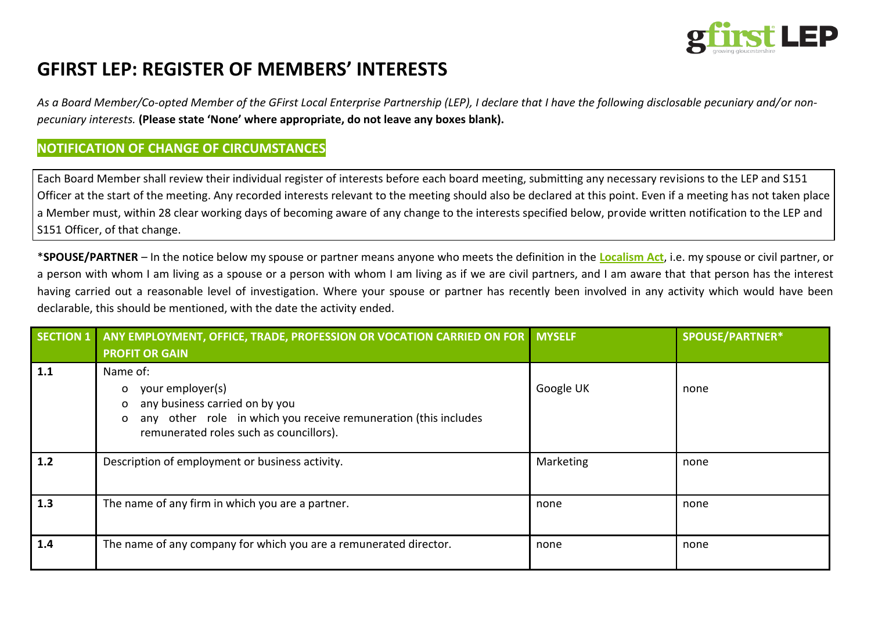

# **GFIRST LEP: REGISTER OF MEMBERS' INTERESTS**

*As a Board Member/Co-opted Member of the GFirst Local Enterprise Partnership (LEP), I declare that I have the following disclosable pecuniary and/or nonpecuniary interests.* **(Please state 'None' where appropriate, do not leave any boxes blank).**

### **NOTIFICATION OF CHANGE OF CIRCUMSTANCES**

Each Board Member shall review their individual register of interests before each board meeting, submitting any necessary revisions to the LEP and S151 Officer at the start of the meeting. Any recorded interests relevant to the meeting should also be declared at this point. Even if a meeting has not taken place a Member must, within 28 clear working days of becoming aware of any change to the interests specified below, provide written notification to the LEP and S151 Officer, of that change.

\***SPOUSE/PARTNER** – In the notice below my spouse or partner means anyone who meets the definition in the **[Localism Act](http://www.legislation.gov.uk/ukpga/2011/20/contents/enacted)**, i.e. my spouse or civil partner, or a person with whom I am living as a spouse or a person with whom I am living as if we are civil partners, and I am aware that that person has the interest having carried out a reasonable level of investigation. Where your spouse or partner has recently been involved in any activity which would have been declarable, this should be mentioned, with the date the activity ended.

|       | SECTION 1 ANY EMPLOYMENT, OFFICE, TRADE, PROFESSION OR VOCATION CARRIED ON FOR MYSELF<br><b>PROFIT OR GAIN</b>                                                                                                   |           | <b>SPOUSE/PARTNER*</b> |
|-------|------------------------------------------------------------------------------------------------------------------------------------------------------------------------------------------------------------------|-----------|------------------------|
| 1.1   | Name of:<br>your employer(s)<br>$\overline{O}$<br>any business carried on by you<br>$\mathbf{O}$<br>o any other role in which you receive remuneration (this includes<br>remunerated roles such as councillors). | Google UK | none                   |
| $1.2$ | Description of employment or business activity.                                                                                                                                                                  | Marketing | none                   |
| 1.3   | The name of any firm in which you are a partner.                                                                                                                                                                 | none      | none                   |
| 1.4   | The name of any company for which you are a remunerated director.                                                                                                                                                | none      | none                   |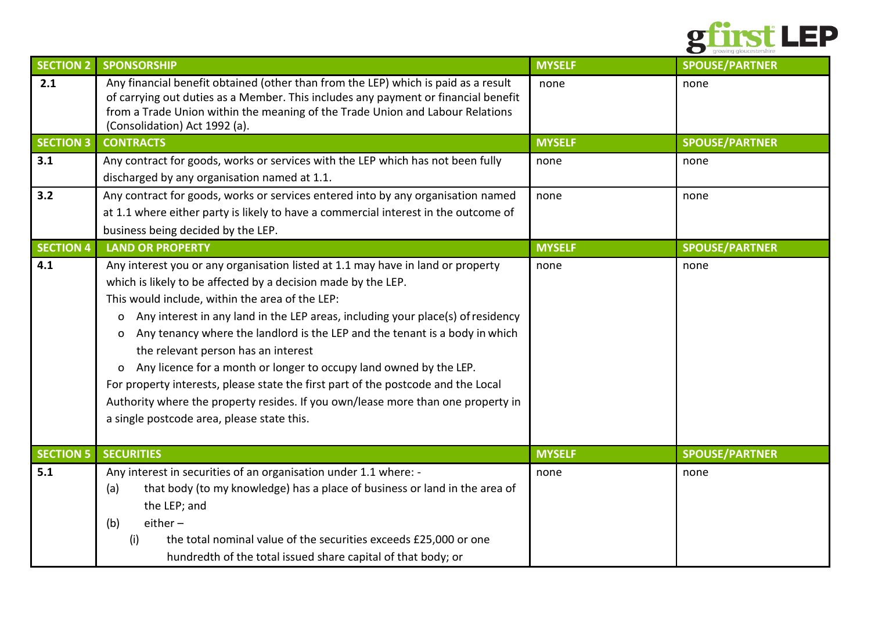

| <b>SECTION 2</b> | <b>SPONSORSHIP</b>                                                                                                                                                                                                                                                                                                                                                                                                                                                                                                                                                                                                                                                                                                       | <b>MYSELF</b> | <b>SPOUSE/PARTNER</b> |
|------------------|--------------------------------------------------------------------------------------------------------------------------------------------------------------------------------------------------------------------------------------------------------------------------------------------------------------------------------------------------------------------------------------------------------------------------------------------------------------------------------------------------------------------------------------------------------------------------------------------------------------------------------------------------------------------------------------------------------------------------|---------------|-----------------------|
| 2.1              | Any financial benefit obtained (other than from the LEP) which is paid as a result<br>of carrying out duties as a Member. This includes any payment or financial benefit<br>from a Trade Union within the meaning of the Trade Union and Labour Relations<br>(Consolidation) Act 1992 (a).                                                                                                                                                                                                                                                                                                                                                                                                                               | none          | none                  |
| <b>SECTION 3</b> | <b>CONTRACTS</b>                                                                                                                                                                                                                                                                                                                                                                                                                                                                                                                                                                                                                                                                                                         | <b>MYSELF</b> | <b>SPOUSE/PARTNER</b> |
| 3.1              | Any contract for goods, works or services with the LEP which has not been fully<br>discharged by any organisation named at 1.1.                                                                                                                                                                                                                                                                                                                                                                                                                                                                                                                                                                                          | none          | none                  |
| 3.2              | Any contract for goods, works or services entered into by any organisation named<br>at 1.1 where either party is likely to have a commercial interest in the outcome of<br>business being decided by the LEP.                                                                                                                                                                                                                                                                                                                                                                                                                                                                                                            | none          | none                  |
| <b>SECTION 4</b> | <b>LAND OR PROPERTY</b>                                                                                                                                                                                                                                                                                                                                                                                                                                                                                                                                                                                                                                                                                                  | <b>MYSELF</b> | <b>SPOUSE/PARTNER</b> |
| 4.1              | Any interest you or any organisation listed at 1.1 may have in land or property<br>which is likely to be affected by a decision made by the LEP.<br>This would include, within the area of the LEP:<br>Any interest in any land in the LEP areas, including your place(s) of residency<br>0<br>Any tenancy where the landlord is the LEP and the tenant is a body in which<br>O<br>the relevant person has an interest<br>Any licence for a month or longer to occupy land owned by the LEP.<br>0<br>For property interests, please state the first part of the postcode and the Local<br>Authority where the property resides. If you own/lease more than one property in<br>a single postcode area, please state this. | none          | none                  |
| <b>SECTION 5</b> | <b>SECURITIES</b>                                                                                                                                                                                                                                                                                                                                                                                                                                                                                                                                                                                                                                                                                                        | <b>MYSELF</b> | <b>SPOUSE/PARTNER</b> |
| 5.1              | Any interest in securities of an organisation under 1.1 where: -<br>that body (to my knowledge) has a place of business or land in the area of<br>(a)<br>the LEP; and<br>$either -$<br>(b)<br>(i)<br>the total nominal value of the securities exceeds £25,000 or one<br>hundredth of the total issued share capital of that body; or                                                                                                                                                                                                                                                                                                                                                                                    | none          | none                  |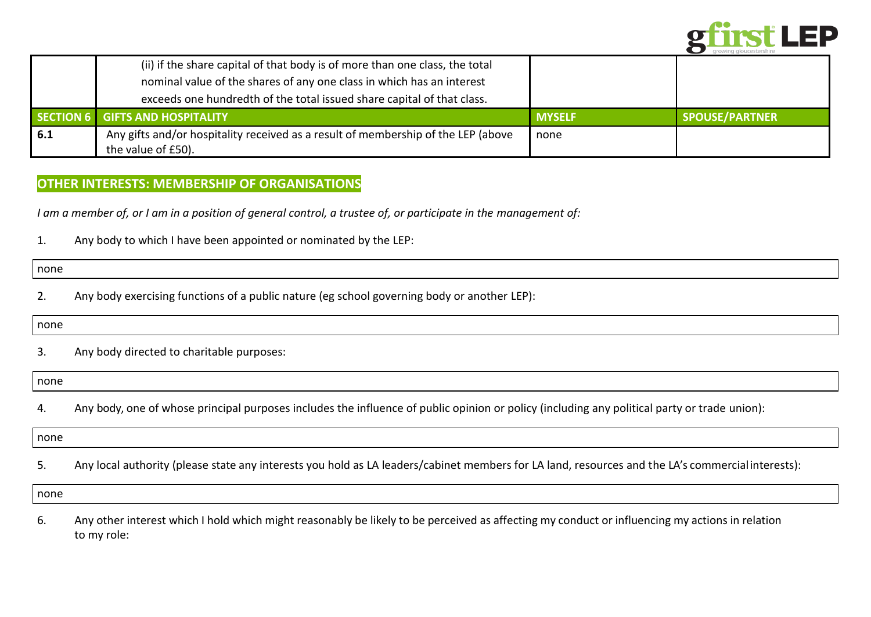

|     | (ii) if the share capital of that body is of more than one class, the total<br>nominal value of the shares of any one class in which has an interest |               |                       |
|-----|------------------------------------------------------------------------------------------------------------------------------------------------------|---------------|-----------------------|
|     | exceeds one hundredth of the total issued share capital of that class.                                                                               |               |                       |
|     | SECTION 6 GIFTS AND HOSPITALITY                                                                                                                      | <b>MYSELF</b> | <b>SPOUSE/PARTNER</b> |
| 6.1 | Any gifts and/or hospitality received as a result of membership of the LEP (above                                                                    | none          |                       |
|     | the value of £50).                                                                                                                                   |               |                       |

### **OTHER INTERESTS: MEMBERSHIP OF ORGANISATIONS**

*I am a member of, or I am in a position of general control, a trustee of, or participate in the management of:*

1. Any body to which I have been appointed or nominated by the LEP:

none

2. Any body exercising functions of a public nature (eg school governing body or another LEP):

none

3. Any body directed to charitable purposes:

none

4. Any body, one of whose principal purposes includes the influence of public opinion or policy (including any political party or trade union):

none

5. Any local authority (please state any interests you hold as LA leaders/cabinet members for LA land, resources and the LA's commercialinterests):

none

6. Any other interest which I hold which might reasonably be likely to be perceived as affecting my conduct or influencing my actions in relation to my role: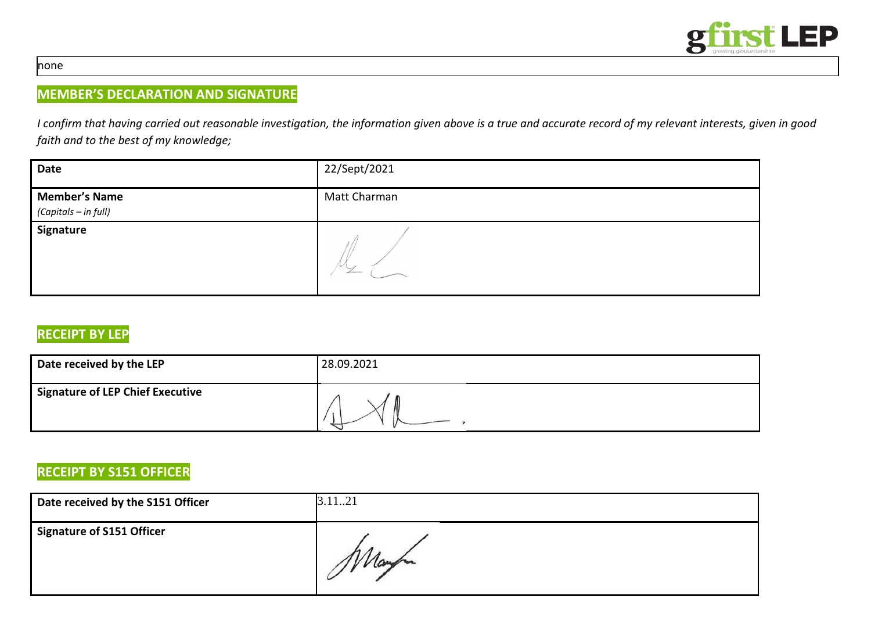

#### none

## **MEMBER'S DECLARATION AND SIGNATURE**

*I confirm that having carried out reasonable investigation, the information given above is a true and accurate record of my relevant interests, given in good faith and to the best of my knowledge;*

| <b>Date</b>          | 22/Sept/2021  |
|----------------------|---------------|
| <b>Member's Name</b> | Matt Charman  |
| (Capitals – in full) |               |
| Signature            | $\sim$ $\sim$ |

## **RECEIPT BY LEP**

| Date received by the LEP                | 28.09.2021 |
|-----------------------------------------|------------|
| <b>Signature of LEP Chief Executive</b> |            |

## **RECEIPT BY S151 OFFICER**

| Date received by the S151 Officer | 3.11.21       |
|-----------------------------------|---------------|
| Signature of S151 Officer         | $1111$ compar |